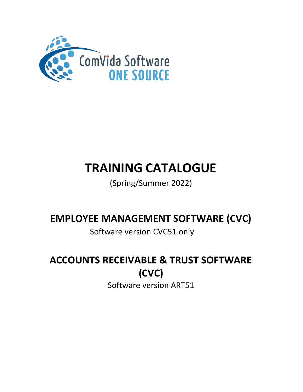

# **TRAINING CATALOGUE**

(Spring/Summer 2022)

**EMPLOYEE MANAGEMENT SOFTWARE (CVC)** 

Software version CVC51 only

**ACCOUNTS RECEIVABLE & TRUST SOFTWARE (CVC)**

Software version ART51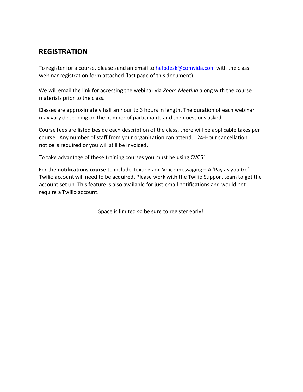### **REGISTRATION**

To register for a course, please send an email to helpdesk@comvida.com with the class webinar registration form attached (last page of this document).

We will email the link for accessing the webinar via *Zoom Meeting* along with the course materials prior to the class.

Classes are approximately half an hour to 3 hours in length. The duration of each webinar may vary depending on the number of participants and the questions asked.

Course fees are listed beside each description of the class, there will be applicable taxes per course. Any number of staff from your organization can attend. 24-Hour cancellation notice is required or you will still be invoiced.

To take advantage of these training courses you must be using CVC51.

For the **notifications course** to include Texting and Voice messaging – A 'Pay as you Go' Twilio account will need to be acquired. Please work with the Twilio Support team to get the account set up. This feature is also available for just email notifications and would not require a Twilio account.

Space is limited so be sure to register early!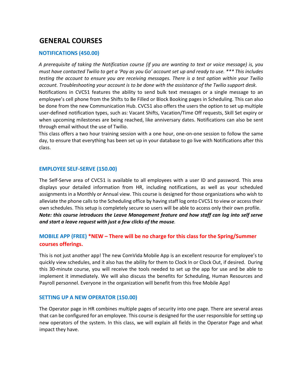### **GENERAL COURSES**

### **NOTIFICATIONS (450.00)**

*A prerequisite of taking the Notification course (if you are wanting to text or voice message) is, you must have contacted Twilio to get a 'Pay as you Go' account set up and ready to use. \*\*\* This includes testing the account to ensure you are receiving messages. There is a test option within your Twilio account. Troubleshooting your account is to be done with the assistance of the Twilio support desk.* Notifications in CVC51 features the ability to send bulk text messages or a single message to an employee's cell phone from the Shifts to Be Filled or Block Booking pages in Scheduling. This can also be done from the new Communication Hub. CVC51 also offers the users the option to set up multiple user-defined notification types, such as: Vacant Shifts, Vacation/Time Off requests, Skill Set expiry or when upcoming milestones are being reached, like anniversary dates. Notifications can also be sent through email without the use of Twilio.

This class offers a two hour training session with a one hour, one-on-one session to follow the same day, to ensure that everything has been set up in your database to go live with Notifications after this class.

### **EMPLOYEE SELF-SERVE (150.00)**

The Self-Serve area of CVC51 is available to all employees with a user ID and password. This area displays your detailed information from HR, including notifications, as well as your scheduled assignments in a Monthly or Annual view. This course is designed for those organizations who wish to alleviate the phone calls to the Scheduling office by having staff log onto CVC51 to view or access their own schedules. This setup is completely secure so users will be able to access only their own profile. *Note: this course introduces the Leave Management feature and how staff can log into self serve and start a leave request with just a few clicks of the mouse.*

### **MOBILE APP (FREE) \*NEW – There will be no charge for this class for the Spring/Summer courses offerings.**

This is not just another app! The new ComVida Mobile App is an excellent resource for employee's to quickly view schedules, and it also has the ability for them to Clock In or Clock Out, if desired. During this 30-minute course, you will receive the tools needed to set up the app for use and be able to implement it immediately. We will also discuss the benefits for Scheduling, Human Resources and Payroll personnel. Everyone in the organization will benefit from this free Mobile App!

### **SETTING UP A NEW OPERATOR (150.00)**

The Operator page in HR combines multiple pages of security into one page. There are several areas that can be configured for an employee. This course is designed for the user responsible for setting up new operators of the system. In this class, we will explain all fields in the Operator Page and what impact they have.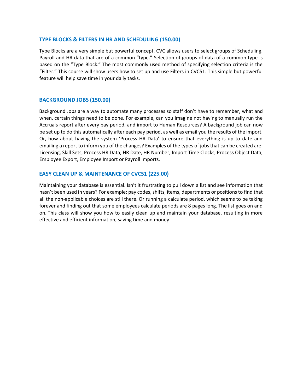### **TYPE BLOCKS & FILTERS IN HR AND SCHEDULING (150.00)**

Type Blocks are a very simple but powerful concept. CVC allows users to select groups of Scheduling, Payroll and HR data that are of a common "type." Selection of groups of data of a common type is based on the "Type Block." The most commonly used method of specifying selection criteria is the "Filter." This course will show users how to set up and use Filters in CVC51. This simple but powerful feature will help save time in your daily tasks.

#### **BACKGROUND JOBS (150.00)**

Background Jobs are a way to automate many processes so staff don't have to remember, what and when, certain things need to be done. For example, can you imagine not having to manually run the Accruals report after every pay period, and import to Human Resources? A background job can now be set up to do this automatically after each pay period, as well as email you the results of the import. Or, how about having the system 'Process HR Data' to ensure that everything is up to date and emailing a report to inform you of the changes? Examples of the types of jobs that can be created are: Licensing, Skill Sets, Process HR Data, HR Date, HR Number, Import Time Clocks, Process Object Data, Employee Export, Employee Import or Payroll Imports.

### **EASY CLEAN UP & MAINTENANCE OF CVC51 (225.00)**

Maintaining your database is essential. Isn't it frustrating to pull down a list and see information that hasn't been used in years? For example: pay codes, shifts, items, departments or positions to find that all the non-applicable choices are still there. Or running a calculate period, which seems to be taking forever and finding out that some employees calculate periods are 8 pages long. The list goes on and on. This class will show you how to easily clean up and maintain your database, resulting in more effective and efficient information, saving time and money!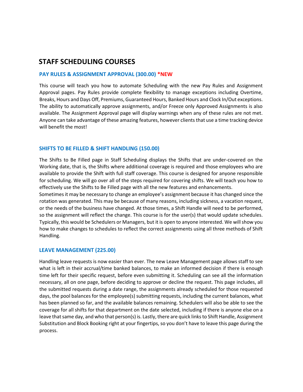### **STAFF SCHEDULING COURSES**

#### **PAY RULES & ASSIGNMENT APPROVAL (300.00) \*NEW**

This course will teach you how to automate Scheduling with the new Pay Rules and Assignment Approval pages. Pay Rules provide complete flexibility to manage exceptions including Overtime, Breaks, Hours and Days Off, Premiums, Guaranteed Hours, Banked Hours and Clock In/Out exceptions. The ability to automatically approve assignments, and/or Freeze only Approved Assignments is also available. The Assignment Approval page will display warnings when any of these rules are not met. Anyone can take advantage of these amazing features, however clients that use a time tracking device will benefit the most!

### **SHIFTS TO BE FILLED & SHIFT HANDLING (150.00)**

The Shifts to Be Filled page in Staff Scheduling displays the Shifts that are under-covered on the Working date, that is, the Shifts where additional coverage is required and those employees who are available to provide the Shift with full staff coverage. This course is designed for anyone responsible for scheduling. We will go over all of the steps required for covering shifts. We will teach you how to effectively use the Shifts to Be Filled page with all the new features and enhancements.

Sometimes it may be necessary to change an employee's assignment because it has changed since the rotation was generated. This may be because of many reasons, including sickness, a vacation request, or the needs of the business have changed. At those times, a Shift Handle will need to be performed, so the assignment will reflect the change. This course is for the user(s) that would update schedules. Typically, this would be Schedulers or Managers, but it is open to anyone interested. We will show you how to make changes to schedules to reflect the correct assignments using all three methods of Shift Handling.

### **LEAVE MANAGEMENT (225.00)**

Handling leave requests is now easier than ever. The new Leave Management page allows staff to see what is left in their accrual/time banked balances, to make an informed decision if there is enough time left for their specific request, before even submitting it. Scheduling can see all the information necessary, all on one page, before deciding to approve or decline the request. This page includes, all the submitted requests during a date range, the assignments already scheduled for those requested days, the pool balances for the employee(s) submitting requests, including the current balances, what has been planned so far, and the available balances remaining. Schedulers will also be able to see the coverage for all shifts for that department on the date selected, including if there is anyone else on a leave that same day, and who that person(s) is. Lastly, there are quick links to Shift Handle, Assignment Substitution and Block Booking right at your fingertips, so you don't have to leave this page during the process.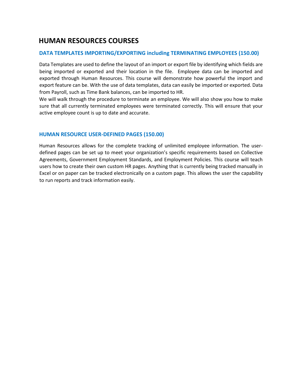## **HUMAN RESOURCES COURSES**

### **DATA TEMPLATES IMPORTING/EXPORTING including TERMINATING EMPLOYEES (150.00)**

Data Templates are used to define the layout of an import or export file by identifying which fields are being imported or exported and their location in the file. Employee data can be imported and exported through Human Resources. This course will demonstrate how powerful the import and export feature can be. With the use of data templates, data can easily be imported or exported. Data from Payroll, such as Time Bank balances, can be imported to HR.

We will walk through the procedure to terminate an employee. We will also show you how to make sure that all currently terminated employees were terminated correctly. This will ensure that your active employee count is up to date and accurate.

### **HUMAN RESOURCE USER-DEFINED PAGES (150.00)**

Human Resources allows for the complete tracking of unlimited employee information. The userdefined pages can be set up to meet your organization's specific requirements based on Collective Agreements, Government Employment Standards, and Employment Policies. This course will teach users how to create their own custom HR pages. Anything that is currently being tracked manually in Excel or on paper can be tracked electronically on a custom page. This allows the user the capability to run reports and track information easily.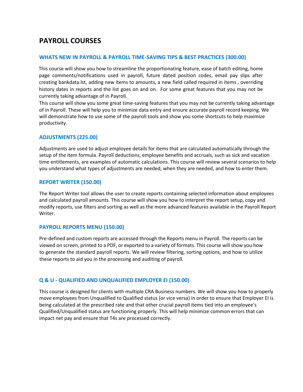# **PAYROLL COURSES**

### **WHATS NEW IN PAYROLL & PAYROLL TIME-SAVING TIPS & BEST PRACTICES (300.00)**

This course will show you how to streamline the proportionating feature, ease of batch editing, home page comments/notifications used in payroll, future dated position codes, email pay slips after creating bankdata.lst, adding new items to amounts, a new field called required in items , overriding history dates in reports and the list goes on and on. For some great features that you may not be currently taking advantage of in Payroll.

This course will show you some great time-saving features that you may not be currently taking advantage of in Payroll. These will help you to minimize data entry and ensure accurate payroll record keeping. We will demonstrate how to use some of the payroll tools and show you some shortcuts to help maximize productivity.

### **ADJUSTMENTS (225.00)**

Adjustments are used to adjust employee details for items that are calculated automatically through the setup of the item formula. Payroll deductions, employee benefits and accruals, such as sick and vacation time entitlements, are examples of automatic calculations. This course will review several scenarios to help you understand what types of adjustments are needed, when they are needed, and how to enter them.

### **REPORT WRITER (150.00)**

The Report Writer tool allows the user to create reports containing selected information about employees and calculated payroll amounts. This course will show you how to interpret the report setup, copy and modify reports, use filters and sorting as well as the more advanced features available in the Payroll Report Writer.

### **PAYROLL REPORTS MENU (150.00)**

Pre-defined and custom reports are accessed through the Reports menu in Payroll. The reports can be viewed on screen, printed to a PDF, or exported to a variety of formats. This course will show you how to generate the standard payroll reports. We will review filtering, sorting options, and how to utilize these reports to aid you in the processing and auditing of payroll.

### **Q & U - QUALIFIED AND UNQUALIFIED EMPLOYER EI (150.00)**

This course is designed for clients with multiple CRA Business numbers. We will show you how to properly move employees from Unqualified to Qualified status (or vice versa) in order to ensure that Employer EI is being calculated at the prescribed rate and that other crucial payroll items tied into an employee's Qualified/Unqualified status are functioning properly. This will help minimize common errors that can impact net pay and ensure that T4s are processed correctly.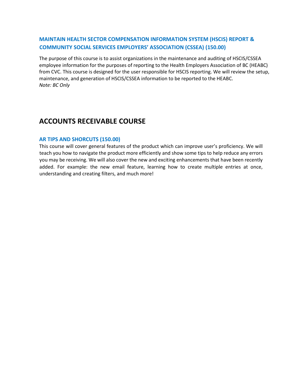### **MAINTAIN HEALTH SECTOR COMPENSATION INFORMATION SYSTEM (HSCIS) REPORT & COMMUNITY SOCIAL SERVICES EMPLOYERS' ASSOCIATION (CSSEA) (150.00)**

The purpose of this course is to assist organizations in the maintenance and auditing of HSCIS/CSSEA employee information for the purposes of reporting to the Health Employers Association of BC (HEABC) from CVC. This course is designed for the user responsible for HSCIS reporting. We will review the setup, maintenance, and generation of HSCIS/CSSEA information to be reported to the HEABC. *Note: BC Only*

### **ACCOUNTS RECEIVABLE COURSE**

### **AR TIPS AND SHORCUTS (150.00)**

This course will cover general features of the product which can improve user's proficiency. We will teach you how to navigate the product more efficiently and show some tips to help reduce any errors you may be receiving. We will also cover the new and exciting enhancements that have been recently added. For example: the new email feature, learning how to create multiple entries at once, understanding and creating filters, and much more!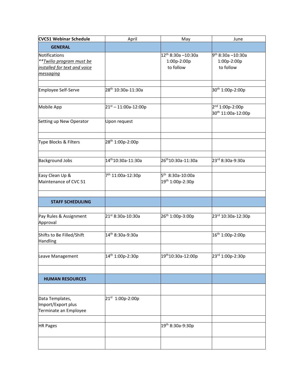| <b>CVC51 Webinar Schedule</b>                                                                 | April                          | May                                              | June                                                      |  |
|-----------------------------------------------------------------------------------------------|--------------------------------|--------------------------------------------------|-----------------------------------------------------------|--|
| <b>GENERAL</b>                                                                                |                                |                                                  |                                                           |  |
| Notifications<br>**Twilio program must be<br>installed for text and voice<br><u>messaging</u> |                                | 12th 8:30a -10:30a<br>1:00p-2:00p<br>to follow   | 9 <sup>th</sup> 8:30a -10:30a<br>1:00p-2:00p<br>to follow |  |
| Employee Self-Serve                                                                           | 28 <sup>th</sup> 10:30a-11:30a |                                                  | 30th 1:00p-2:00p                                          |  |
| Mobile App                                                                                    | $21^{st} - 11:00a-12:00p$      |                                                  | 2 <sup>nd</sup> 1:00p-2:00p<br>30th 11:00a-12:00p         |  |
| Setting up New Operator                                                                       | Upon request                   |                                                  |                                                           |  |
| Type Blocks & Filters                                                                         | 28th 1:00p-2:00p               |                                                  |                                                           |  |
| <b>Background Jobs</b>                                                                        | 14th10:30a-11:30a              | 26 <sup>th</sup> 10:30a-11:30a                   | 23rd 8:30a-9:30a                                          |  |
| Easy Clean Up &<br>Maintenance of CVC 51                                                      | 7 <sup>th</sup> 11:00a-12:30p  | 5 <sup>th</sup> 8:30a-10:00a<br>19th 1:00p-2:30p |                                                           |  |
| <b>STAFF SCHEDULING</b>                                                                       |                                |                                                  |                                                           |  |
| Pay Rules & Assignment<br>Approval                                                            | 21st 8:30a-10:30a              | 26th 1:00p-3:00p                                 | 23rd 10:30a-12:30p                                        |  |
| Shifts to Be Filled/Shift<br>Handling                                                         | 14th 8:30a-9:30a               |                                                  | 16 <sup>th</sup> 1:00p-2:00p                              |  |
| Leave Management                                                                              | 14th 1:00p-2:30p               | 19th10:30a-12:00p                                | 23rd 1:00p-2:30p                                          |  |
| <b>HUMAN RESOURCES</b>                                                                        |                                |                                                  |                                                           |  |
|                                                                                               |                                |                                                  |                                                           |  |
| Data Templates,<br>Import/Export plus<br>Terminate an Employee                                | 21st 1:00p-2:00p               |                                                  |                                                           |  |
| <b>HR Pages</b>                                                                               |                                | 19th 8:30a-9:30p                                 |                                                           |  |
|                                                                                               |                                |                                                  |                                                           |  |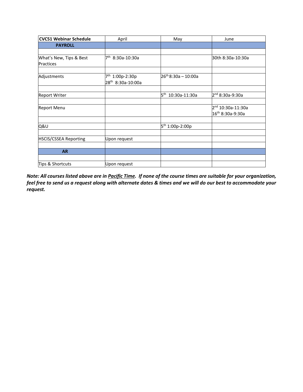| <b>CVC51 Webinar Schedule</b>        | April                                                        | May                           | June                                                          |  |
|--------------------------------------|--------------------------------------------------------------|-------------------------------|---------------------------------------------------------------|--|
| <b>PAYROLL</b>                       |                                                              |                               |                                                               |  |
|                                      |                                                              |                               |                                                               |  |
| What's New, Tips & Best<br>Practices | 7 <sup>th</sup><br>8:30a-10:30a                              |                               | 30th 8:30a-10:30a                                             |  |
| Adjustments                          | 7 <sup>th</sup> 1:00p-2:30p<br>28 <sup>th</sup> 8:30a-10:00a | $26th 8:30a - 10:00a$         |                                                               |  |
|                                      |                                                              |                               |                                                               |  |
| <b>Report Writer</b>                 |                                                              | 5 <sup>th</sup> 10:30a-11:30a | 2 <sup>nd</sup> 8:30a-9:30a                                   |  |
| <b>Report Menu</b>                   |                                                              |                               | 2 <sup>nd</sup> 10:30a-11:30a<br>16 <sup>th</sup> 8:30a-9:30a |  |
| Q&U                                  |                                                              | 5 <sup>th</sup> 1:00p-2:00p   |                                                               |  |
| <b>HSCIS/CSSEA Reporting</b>         | Upon request                                                 |                               |                                                               |  |
| <b>AR</b>                            |                                                              |                               |                                                               |  |
| Tips & Shortcuts                     | Upon request                                                 |                               |                                                               |  |

*Note: All courses listed above are in Pacific Time. If none of the course times are suitable for your organization, feel free to send us a request along with alternate dates & times and we will do our best to accommodate your request.*